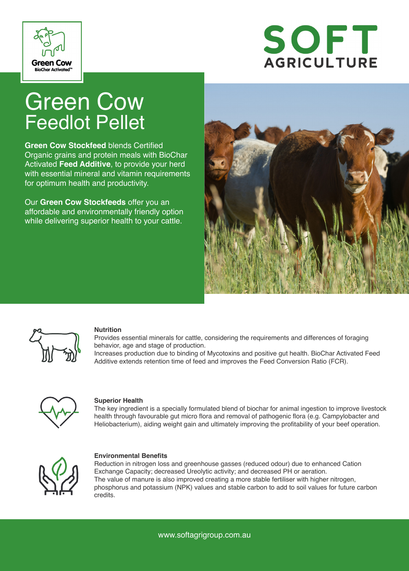



# Green Cow Feedlot Pellet

**Green Cow Stockfeed** blends Certified Organic grains and protein meals with BioChar Activated **Feed Additive**, to provide your herd with essential mineral and vitamin requirements for optimum health and productivity.

Our **Green Cow Stockfeeds** offer you an affordable and environmentally friendly option while delivering superior health to your cattle.





#### **Nutrition**

Provides essential minerals for cattle, considering the requirements and differences of foraging behavior, age and stage of production.

Increases production due to binding of Mycotoxins and positive gut health. BioChar Activated Feed Additive extends retention time of feed and improves the Feed Conversion Ratio (FCR).



#### **Superior Health**

The key ingredient is a specially formulated blend of biochar for animal ingestion to improve livestock health through favourable gut micro flora and removal of pathogenic flora (e.g. Campylobacter and Heliobacterium), aiding weight gain and ultimately improving the profitability of your beef operation.



#### **Environmental Benefits**

Reduction in nitrogen loss and greenhouse gasses (reduced odour) due to enhanced Cation Exchange Capacity; decreased Ureolytic activity; and decreased PH or aeration. The value of manure is also improved creating a more stable fertiliser with higher nitrogen, phosphorus and potassium (NPK) values and stable carbon to add to soil values for future carbon credits.